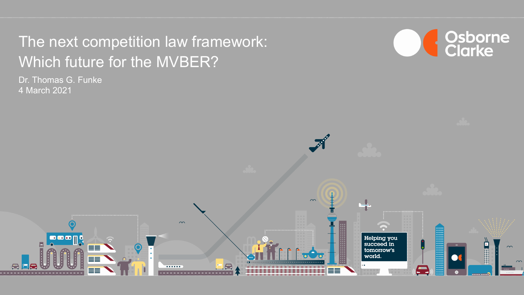# Which future for the MVBER? The next competition law framework:

Dr. Thomas G. Funke 4 March 2021



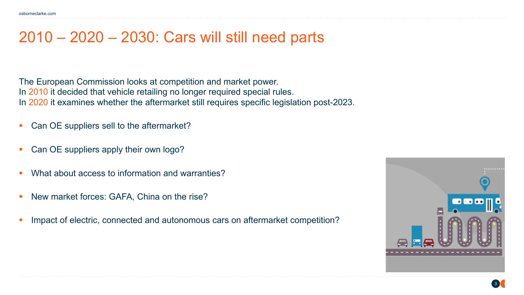#### 2010 – 2020 – 2030: Cars will still need parts

The European Commission looks at competition and market power. In 2010 it decided that vehicle retailing no longer required special rules. In 2020 it examines whether the aftermarket still requires specific legislation post-2023.

- § Can OE suppliers sell to the aftermarket?
- § Can OE suppliers apply their own logo?
- What about access to information and warranties?
- § New market forces: GAFA, China on the rise?
- Impact of electric, connected and autonomous cars on aftermarket competition?

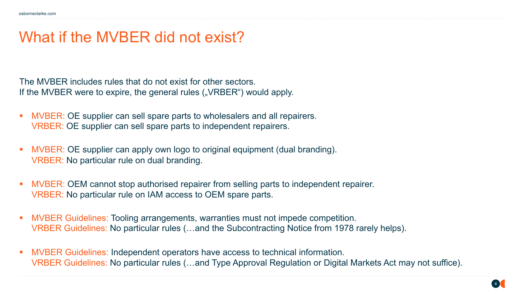### What if the MVBER did not exist?

The MVBER includes rules that do not exist for other sectors. If the MVBER were to expire, the general rules ("VRBER") would apply.

- MVBER: OE supplier can sell spare parts to wholesalers and all repairers. VRBER: OE supplier can sell spare parts to independent repairers.
- § MVBER: OE supplier can apply own logo to original equipment (dual branding). VRBER: No particular rule on dual branding.
- MVBER: OEM cannot stop authorised repairer from selling parts to independent repairer. VRBER: No particular rule on IAM access to OEM spare parts.
- § MVBER Guidelines: Tooling arrangements, warranties must not impede competition. VRBER Guidelines: No particular rules (…and the Subcontracting Notice from 1978 rarely helps).
- § MVBER Guidelines: Independent operators have access to technical information. VRBER Guidelines: No particular rules (…and Type Approval Regulation or Digital Markets Act may not suffice).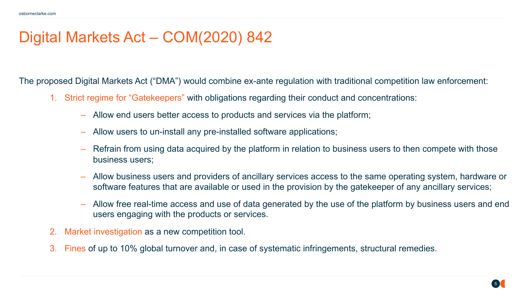### Digital Markets Act – COM(2020) 842

The proposed Digital Markets Act ("DMA") would combine ex-ante regulation with traditional competition law enforcement:

- 1. Strict regime for "Gatekeepers" with obligations regarding their conduct and concentrations:
	- ‒ Allow end users better access to products and services via the platform;
	- ‒ Allow users to un-install any pre-installed software applications;
	- ‒ Refrain from using data acquired by the platform in relation to business users to then compete with those business users;
	- ‒ Allow business users and providers of ancillary services access to the same operating system, hardware or software features that are available or used in the provision by the gatekeeper of any ancillary services;
	- ‒ Allow free real-time access and use of data generated by the use of the platform by business users and end users engaging with the products or services.
- 2. Market investigation as a new competition tool.
- 3. Fines of up to 10% global turnover and, in case of systematic infringements, structural remedies.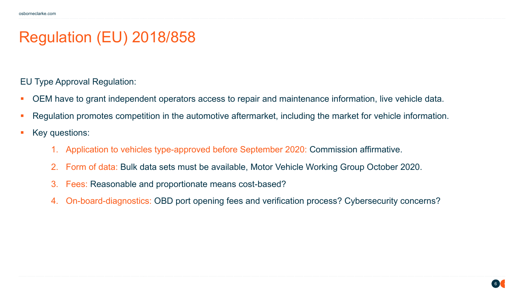### Regulation (EU) 2018/858

EU Type Approval Regulation:

- OEM have to grant independent operators access to repair and maintenance information, live vehicle data.
- Regulation promotes competition in the automotive aftermarket, including the market for vehicle information.
- Key questions:
	- 1. Application to vehicles type-approved before September 2020: Commission affirmative.
	- 2. Form of data: Bulk data sets must be available, Motor Vehicle Working Group October 2020.
	- 3. Fees: Reasonable and proportionate means cost-based?
	- 4. On-board-diagnostics: OBD port opening fees and verification process? Cybersecurity concerns?